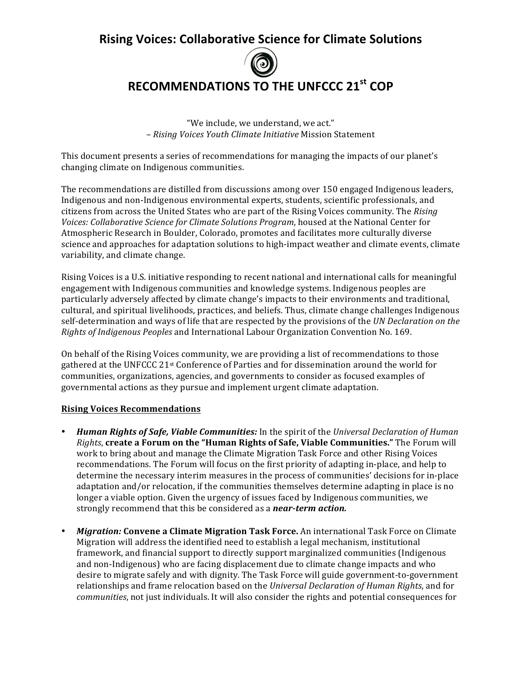## **Rising Voices: Collaborative Science for Climate Solutions**



## **RECOMMENDATIONS TO THE UNFCCC 21st COP**

"We include, we understand, we act." – *Rising Voices Youth Climate Initiative* Mission Statement

This document presents a series of recommendations for managing the impacts of our planet's changing climate on Indigenous communities.

The recommendations are distilled from discussions among over 150 engaged Indigenous leaders, Indigenous and non-Indigenous environmental experts, students, scientific professionals, and citizens from across the United States who are part of the Rising Voices community. The *Rising* Voices: Collaborative Science for Climate Solutions Program, housed at the National Center for Atmospheric Research in Boulder, Colorado, promotes and facilitates more culturally diverse science and approaches for adaptation solutions to high-impact weather and climate events, climate variability, and climate change.

Rising Voices is a U.S. initiative responding to recent national and international calls for meaningful engagement with Indigenous communities and knowledge systems. Indigenous peoples are particularly adversely affected by climate change's impacts to their environments and traditional, cultural, and spiritual livelihoods, practices, and beliefs. Thus, climate change challenges Indigenous self-determination and ways of life that are respected by the provisions of the *UN Declaration on the Rights of Indigenous Peoples* and International Labour Organization Convention No. 169.

On behalf of the Rising Voices community, we are providing a list of recommendations to those gathered at the UNFCCC 21<sup>st</sup> Conference of Parties and for dissemination around the world for communities, organizations, agencies, and governments to consider as focused examples of governmental actions as they pursue and implement urgent climate adaptation.

## **Rising Voices Recommendations**

- **Human Rights of Safe, Viable Communities:** In the spirit of the *Universal Declaration of Human Rights*, create a Forum on the "Human Rights of Safe, Viable Communities." The Forum will work to bring about and manage the Climate Migration Task Force and other Rising Voices recommendations. The Forum will focus on the first priority of adapting in-place, and help to determine the necessary interim measures in the process of communities' decisions for in-place adaptation and/or relocation, if the communities themselves determine adapting in place is no longer a viable option. Given the urgency of issues faced by Indigenous communities, we strongly recommend that this be considered as a *near-term action*.
- *Migration:* **Convene a Climate Migration Task Force.** An international Task Force on Climate Migration will address the identified need to establish a legal mechanism, institutional framework, and financial support to directly support marginalized communities (Indigenous and non-Indigenous) who are facing displacement due to climate change impacts and who desire to migrate safely and with dignity. The Task Force will guide government-to-government relationships and frame relocation based on the *Universal Declaration of Human Rights*, and for *communities*, not just individuals. It will also consider the rights and potential consequences for